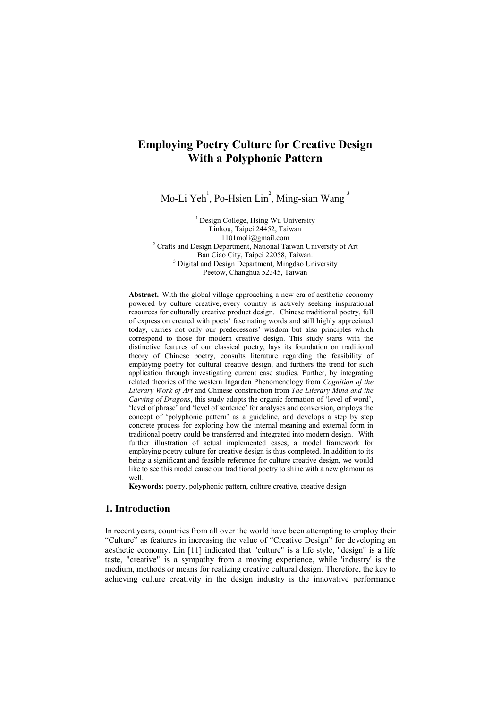# **Employing Poetry Culture for Creative Design With a Polyphonic Pattern**

Mo-Li Yeh<sup>1</sup>, Po-Hsien Lin<sup>2</sup>, Ming-sian Wang<sup>3</sup>

<sup>1</sup> Design College, Hsing Wu University Linkou, Taipei 24452, Taiwan 1101moli@gmail.com <sup>2</sup> Crafts and Design Department, National Taiwan University of Art Ban Ciao City, Taipei 22058, Taiwan. <sup>3</sup> Digital and Design Department, Mingdao University Peetow, Changhua 52345, Taiwan

**Abstract.** With the global village approaching a new era of aesthetic economy powered by culture creative, every country is actively seeking inspirational resources for culturally creative product design. Chinese traditional poetry, full of expression created with poets' fascinating words and still highly appreciated today, carries not only our predecessors' wisdom but also principles which correspond to those for modern creative design. This study starts with the distinctive features of our classical poetry, lays its foundation on traditional theory of Chinese poetry, consults literature regarding the feasibility of employing poetry for cultural creative design, and furthers the trend for such application through investigating current case studies. Further, by integrating related theories of the western Ingarden Phenomenology from *Cognition of the Literary Work of Art* and Chinese construction from *The Literary Mind and the Carving of Dragons*, this study adopts the organic formation of 'level of word', 'level of phrase' and 'level of sentence' for analyses and conversion, employs the concept of 'polyphonic pattern' as a guideline, and develops a step by step concrete process for exploring how the internal meaning and external form in traditional poetry could be transferred and integrated into modern design. With further illustration of actual implemented cases, a model framework for employing poetry culture for creative design is thus completed. In addition to its being a significant and feasible reference for culture creative design, we would like to see this model cause our traditional poetry to shine with a new glamour as well.

**Keywords:** poetry, polyphonic pattern, culture creative, creative design

# **1. Introduction**

In recent years, countries from all over the world have been attempting to employ their "Culture" as features in increasing the value of "Creative Design" for developing an aesthetic economy. Lin [11] indicated that "culture" is a life style, "design" is a life taste, "creative" is a sympathy from a moving experience, while 'industry' is the medium, methods or means for realizing creative cultural design. Therefore, the key to achieving culture creativity in the design industry is the innovative performance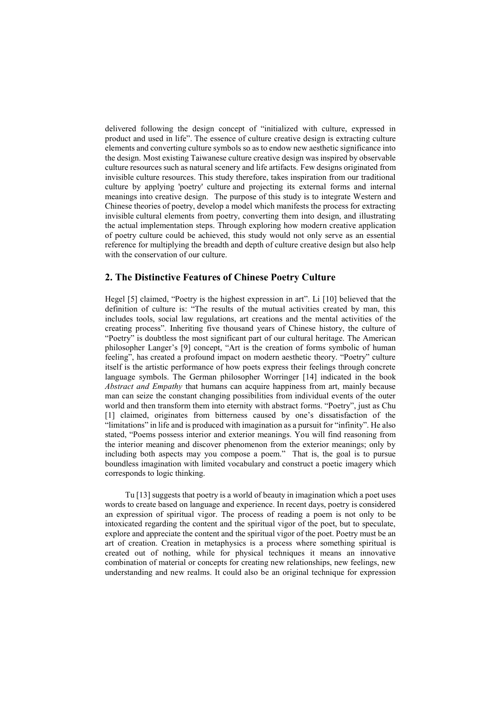delivered following the design concept of "initialized with culture, expressed in product and used in life". The essence of culture creative design is extracting culture elements and converting culture symbols so as to endow new aesthetic significance into the design. Most existing Taiwanese culture creative design was inspired by observable culture resources such as natural scenery and life artifacts. Few designs originated from invisible culture resources. This study therefore, takes inspiration from our traditional culture by applying 'poetry' culture and projecting its external forms and internal meanings into creative design. The purpose of this study is to integrate Western and Chinese theories of poetry, develop a model which manifests the process for extracting invisible cultural elements from poetry, converting them into design, and illustrating the actual implementation steps. Through exploring how modern creative application of poetry culture could be achieved, this study would not only serve as an essential reference for multiplying the breadth and depth of culture creative design but also help with the conservation of our culture.

# **2. The Distinctive Features of Chinese Poetry Culture**

Hegel [5] claimed, "Poetry is the highest expression in art". Li [10] believed that the definition of culture is: "The results of the mutual activities created by man, this includes tools, social law regulations, art creations and the mental activities of the creating process". Inheriting five thousand years of Chinese history, the culture of "Poetry" is doubtless the most significant part of our cultural heritage. The American philosopher Langer's [9] concept, "Art is the creation of forms symbolic of human feeling", has created a profound impact on modern aesthetic theory. "Poetry" culture itself is the artistic performance of how poets express their feelings through concrete language symbols. The German philosopher Worringer [14] indicated in the book *Abstract and Empathy* that humans can acquire happiness from art, mainly because man can seize the constant changing possibilities from individual events of the outer world and then transform them into eternity with abstract forms. "Poetry", just as Chu [1] claimed, originates from bitterness caused by one's dissatisfaction of the "limitations" in life and is produced with imagination as a pursuit for "infinity". He also stated, "Poems possess interior and exterior meanings. You will find reasoning from the interior meaning and discover phenomenon from the exterior meanings; only by including both aspects may you compose a poem." That is, the goal is to pursue boundless imagination with limited vocabulary and construct a poetic imagery which corresponds to logic thinking.

Tu [13] suggests that poetry is a world of beauty in imagination which a poet uses words to create based on language and experience. In recent days, poetry is considered an expression of spiritual vigor. The process of reading a poem is not only to be intoxicated regarding the content and the spiritual vigor of the poet, but to speculate, explore and appreciate the content and the spiritual vigor of the poet. Poetry must be an art of creation. Creation in metaphysics is a process where something spiritual is created out of nothing, while for physical techniques it means an innovative combination of material or concepts for creating new relationships, new feelings, new understanding and new realms. It could also be an original technique for expression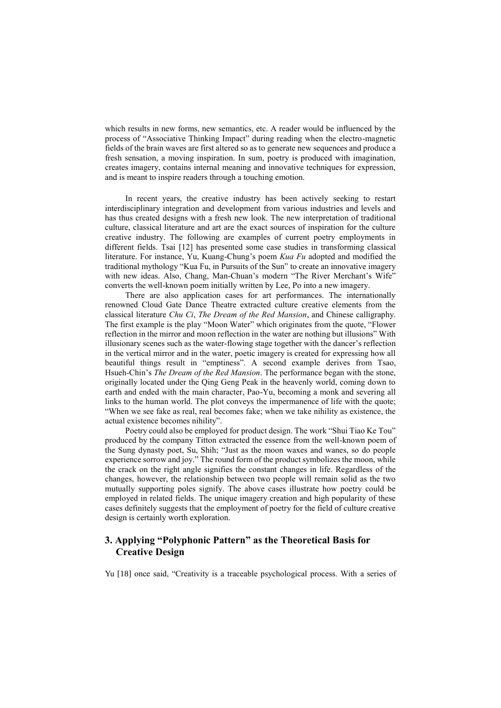which results in new forms, new semantics, etc. A reader would be influenced by the process of "Associative Thinking Impact" during reading when the electro-magnetic fields of the brain waves are first altered so as to generate new sequences and produce a fresh sensation, a moving inspiration. In sum, poetry is produced with imagination, creates imagery, contains internal meaning and innovative techniques for expression, and is meant to inspire readers through a touching emotion.

In recent years, the creative industry has been actively seeking to restart interdisciplinary integration and development from various industries and levels and has thus created designs with a fresh new look. The new interpretation of traditional culture, classical literature and art are the exact sources of inspiration for the culture creative industry. The following are examples of current poetry employments in different fields. Tsai [12] has presented some case studies in transforming classical literature. For instance, Yu, Kuang-Chung's poem *Kua Fu* adopted and modified the traditional mythology "Kua Fu, in Pursuits of the Sun" to create an innovative imagery with new ideas. Also, Chang, Man-Chuan's modern "The River Merchant's Wife" converts the well-known poem initially written by Lee, Po into a new imagery.

There are also application cases for art performances. The internationally renowned Cloud Gate Dance Theatre extracted culture creative elements from the classical literature *Chu Ci*, *The Dream of the Red Mansion*, and Chinese calligraphy. The first example is the play "Moon Water" which originates from the quote, "Flower reflection in the mirror and moon reflection in the water are nothing but illusions" With illusionary scenes such as the water-flowing stage together with the dancer's reflection in the vertical mirror and in the water, poetic imagery is created for expressing how all beautiful things result in "emptiness". A second example derives from Tsao, Hsueh-Chin's *The Dream of the Red Mansion*. The performance began with the stone, originally located under the Qing Geng Peak in the heavenly world, coming down to earth and ended with the main character, Pao-Yu, becoming a monk and severing all links to the human world. The plot conveys the impermanence of life with the quote; "When we see fake as real, real becomes fake; when we take nihility as existence, the actual existence becomes nihility".

Poetry could also be employed for product design. The work "Shui Tiao Ke Tou" produced by the company Titton extracted the essence from the well-known poem of the Sung dynasty poet, Su, Shih; "Just as the moon waxes and wanes, so do people experience sorrow and joy." The round form of the product symbolizes the moon, while the crack on the right angle signifies the constant changes in life. Regardless of the changes, however, the relationship between two people will remain solid as the two mutually supporting poles signify. The above cases illustrate how poetry could be employed in related fields. The unique imagery creation and high popularity of these cases definitely suggests that the employment of poetry for the field of culture creative design is certainly worth exploration.

# **3. Applying "Polyphonic Pattern" as the Theoretical Basis for Creative Design**

Yu [18] once said, "Creativity is a traceable psychological process. With a series of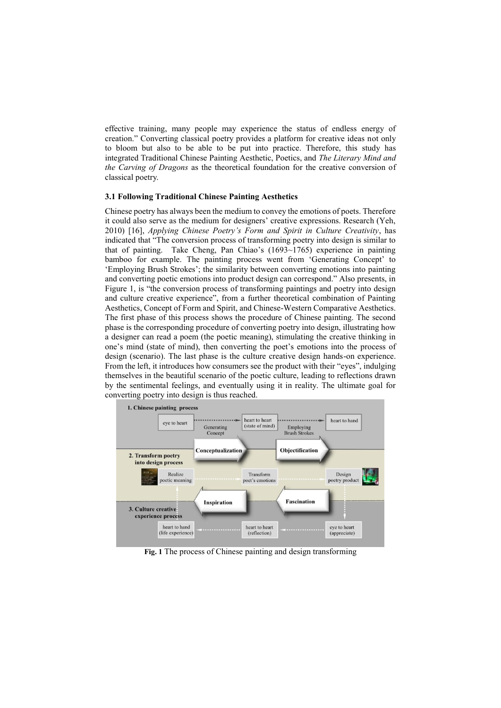effective training, many people may experience the status of endless energy of creation." Converting classical poetry provides a platform for creative ideas not only to bloom but also to be able to be put into practice. Therefore, this study has integrated Traditional Chinese Painting Aesthetic, Poetics, and *The Literary Mind and the Carving of Dragons* as the theoretical foundation for the creative conversion of classical poetry.

#### **3.1 Following Traditional Chinese Painting Aesthetics**

Chinese poetry has always been the medium to convey the emotions of poets. Therefore it could also serve as the medium for designers' creative expressions. Research (Yeh, 2010) [16], *Applying Chinese Poetry's Form and Spirit in Culture Creativity*, has indicated that "The conversion process of transforming poetry into design is similar to that of painting. Take Cheng, Pan Chiao's (1693~1765) experience in painting bamboo for example. The painting process went from 'Generating Concept' to 'Employing Brush Strokes'; the similarity between converting emotions into painting and converting poetic emotions into product design can correspond." Also presents, in Figure 1, is "the conversion process of transforming paintings and poetry into design and culture creative experience", from a further theoretical combination of Painting Aesthetics, Concept of Form and Spirit, and Chinese-Western Comparative Aesthetics. The first phase of this process shows the procedure of Chinese painting. The second phase is the corresponding procedure of converting poetry into design, illustrating how a designer can read a poem (the poetic meaning), stimulating the creative thinking in one's mind (state of mind), then converting the poet's emotions into the process of design (scenario). The last phase is the culture creative design hands-on experience. From the left, it introduces how consumers see the product with their "eyes", indulging themselves in the beautiful scenario of the poetic culture, leading to reflections drawn by the sentimental feelings, and eventually using it in reality. The ultimate goal for converting poetry into design is thus reached.



**Fig. 1** The process of Chinese painting and design transforming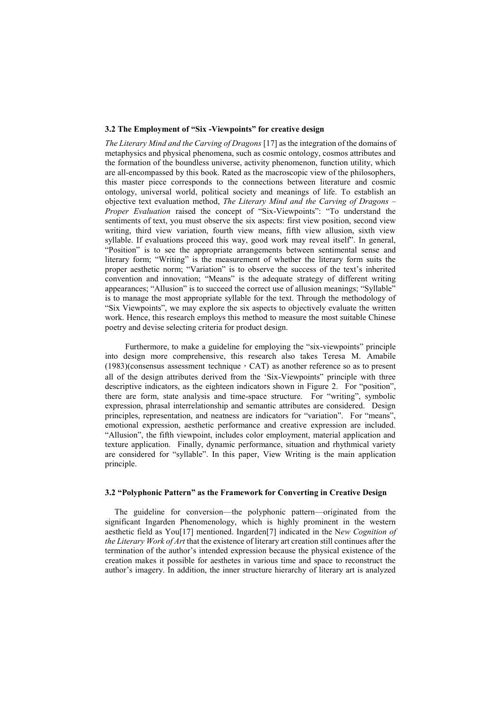#### **3.2 The Employment of "Six -Viewpoints" for creative design**

*The Literary Mind and the Carving of Dragons* [17] as the integration of the domains of metaphysics and physical phenomena, such as cosmic ontology, cosmos attributes and the formation of the boundless universe, activity phenomenon, function utility, which are all-encompassed by this book. Rated as the macroscopic view of the philosophers, this master piece corresponds to the connections between literature and cosmic ontology, universal world, political society and meanings of life. To establish an objective text evaluation method, *The Literary Mind and the Carving of Dragons – Proper Evaluation* raised the concept of "Six-Viewpoints": "To understand the sentiments of text, you must observe the six aspects: first view position, second view writing, third view variation, fourth view means, fifth view allusion, sixth view syllable. If evaluations proceed this way, good work may reveal itself". In general, "Position" is to see the appropriate arrangements between sentimental sense and literary form; "Writing" is the measurement of whether the literary form suits the proper aesthetic norm; "Variation" is to observe the success of the text's inherited convention and innovation; "Means" is the adequate strategy of different writing appearances; "Allusion" is to succeed the correct use of allusion meanings; "Syllable" is to manage the most appropriate syllable for the text. Through the methodology of "Six Viewpoints", we may explore the six aspects to objectively evaluate the written work. Hence, this research employs this method to measure the most suitable Chinese poetry and devise selecting criteria for product design.

Furthermore, to make a guideline for employing the "six-viewpoints" principle into design more comprehensive, this research also takes Teresa M. Amabile  $(1983)$ (consensus assessment technique, CAT) as another reference so as to present all of the design attributes derived from the 'Six-Viewpoints" principle with three descriptive indicators, as the eighteen indicators shown in Figure 2. For "position", there are form, state analysis and time-space structure. For "writing", symbolic expression, phrasal interrelationship and semantic attributes are considered. Design principles, representation, and neatness are indicators for "variation". For "means", emotional expression, aesthetic performance and creative expression are included. "Allusion", the fifth viewpoint, includes color employment, material application and texture application. Finally, dynamic performance, situation and rhythmical variety are considered for "syllable". In this paper, View Writing is the main application principle.

#### **3.2 "Polyphonic Pattern" as the Framework for Converting in Creative Design**

The guideline for conversion—the polyphonic pattern—originated from the significant Ingarden Phenomenology, which is highly prominent in the western aesthetic field as You[17] mentioned. Ingarden[7] indicated in the N*ew Cognition of the Literary Work of Art* that the existence of literary art creation still continues after the termination of the author's intended expression because the physical existence of the creation makes it possible for aesthetes in various time and space to reconstruct the author's imagery. In addition, the inner structure hierarchy of literary art is analyzed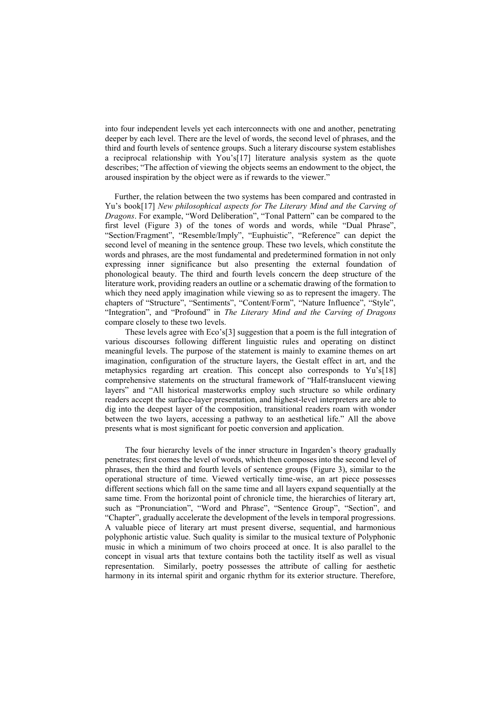into four independent levels yet each interconnects with one and another, penetrating deeper by each level. There are the level of words, the second level of phrases, and the third and fourth levels of sentence groups. Such a literary discourse system establishes a reciprocal relationship with You's[17] literature analysis system as the quote describes; "The affection of viewing the objects seems an endowment to the object, the aroused inspiration by the object were as if rewards to the viewer."

Further, the relation between the two systems has been compared and contrasted in Yu's book[17] *New philosophical aspects for The Literary Mind and the Carving of Dragons*. For example, "Word Deliberation", "Tonal Pattern" can be compared to the first level (Figure 3) of the tones of words and words, while "Dual Phrase", "Section/Fragment", "Resemble/Imply", "Euphuistic", "Reference" can depict the second level of meaning in the sentence group. These two levels, which constitute the words and phrases, are the most fundamental and predetermined formation in not only expressing inner significance but also presenting the external foundation of phonological beauty. The third and fourth levels concern the deep structure of the literature work, providing readers an outline or a schematic drawing of the formation to which they need apply imagination while viewing so as to represent the imagery. The chapters of "Structure", "Sentiments", "Content/Form", "Nature Influence", "Style", "Integration", and "Profound" in *The Literary Mind and the Carving of Dragons*  compare closely to these two levels.

These levels agree with Eco's[3] suggestion that a poem is the full integration of various discourses following different linguistic rules and operating on distinct meaningful levels. The purpose of the statement is mainly to examine themes on art imagination, configuration of the structure layers, the Gestalt effect in art, and the metaphysics regarding art creation. This concept also corresponds to Yu's[18] comprehensive statements on the structural framework of "Half-translucent viewing layers" and "All historical masterworks employ such structure so while ordinary readers accept the surface-layer presentation, and highest-level interpreters are able to dig into the deepest layer of the composition, transitional readers roam with wonder between the two layers, accessing a pathway to an aesthetical life." All the above presents what is most significant for poetic conversion and application.

The four hierarchy levels of the inner structure in Ingarden's theory gradually penetrates; first comes the level of words, which then composes into the second level of phrases, then the third and fourth levels of sentence groups (Figure 3), similar to the operational structure of time. Viewed vertically time-wise, an art piece possesses different sections which fall on the same time and all layers expand sequentially at the same time. From the horizontal point of chronicle time, the hierarchies of literary art, such as "Pronunciation", "Word and Phrase", "Sentence Group", "Section", and "Chapter", gradually accelerate the development of the levels in temporal progressions. A valuable piece of literary art must present diverse, sequential, and harmonious polyphonic artistic value. Such quality is similar to the musical texture of Polyphonic music in which a minimum of two choirs proceed at once. It is also parallel to the concept in visual arts that texture contains both the tactility itself as well as visual representation. Similarly, poetry possesses the attribute of calling for aesthetic harmony in its internal spirit and organic rhythm for its exterior structure. Therefore,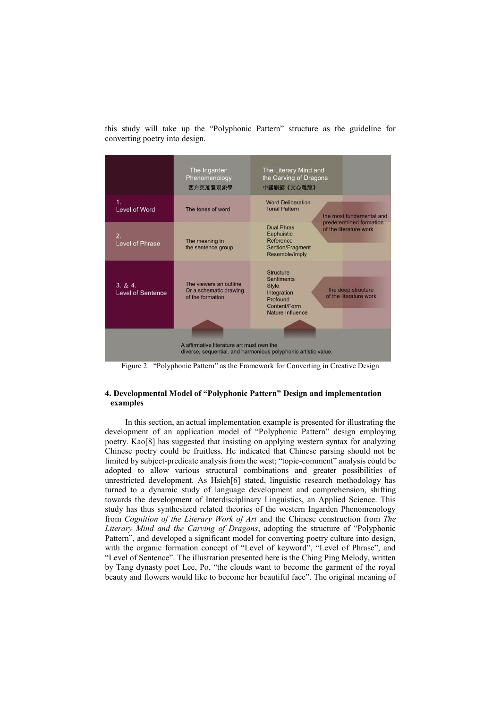this study will take up the "Polyphonic Pattern" structure as the guideline for converting poetry into design.



Figure 2 "Polyphonic Pattern" as the Framework for Converting in Creative Design

## **4. Developmental Model of "Polyphonic Pattern" Design and implementation examples**

In this section, an actual implementation example is presented for illustrating the development of an application model of "Polyphonic Pattern" design employing poetry. Kao[8] has suggested that insisting on applying western syntax for analyzing Chinese poetry could be fruitless. He indicated that Chinese parsing should not be limited by subject-predicate analysis from the west; "topic-comment" analysis could be adopted to allow various structural combinations and greater possibilities of unrestricted development. As Hsieh[6] stated, linguistic research methodology has turned to a dynamic study of language development and comprehension, shifting towards the development of Interdisciplinary Linguistics, an Applied Science. This study has thus synthesized related theories of the western Ingarden Phenomenology from *Cognition of the Literary Work of Art* and the Chinese construction from *The Literary Mind and the Carving of Dragons*, adopting the structure of "Polyphonic Pattern", and developed a significant model for converting poetry culture into design, with the organic formation concept of "Level of keyword", "Level of Phrase", and "Level of Sentence". The illustration presented here is the Ching Ping Melody, written by Tang dynasty poet Lee, Po, "the clouds want to become the garment of the royal beauty and flowers would like to become her beautiful face". The original meaning of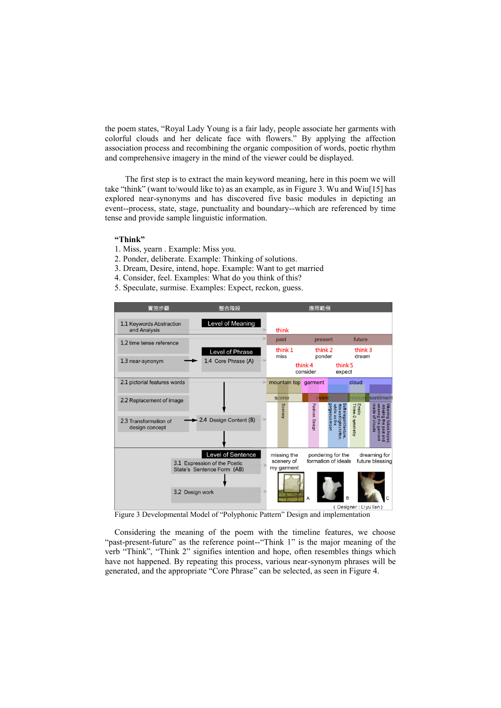the poem states, "Royal Lady Young is a fair lady, people associate her garments with colorful clouds and her delicate face with flowers." By applying the affection association process and recombining the organic composition of words, poetic rhythm and comprehensive imagery in the mind of the viewer could be displayed.

The first step is to extract the main keyword meaning, here in this poem we will take "think" (want to/would like to) as an example, as in Figure 3. Wu and Wiu[15] has explored near-synonyms and has discovered five basic modules in depicting an event--process, state, stage, punctuality and boundary--which are referenced by time tense and provide sample linguistic information.

### **"Think"**

- 1. Miss, yearn . Example: Miss you.
- 2. Ponder, deliberate. Example: Thinking of solutions.
- 3. Dream, Desire, intend, hope. Example: Want to get married
- 4. Consider, feel. Examples: What do you think of this?
- 5. Speculate, surmise. Examples: Expect, reckon, guess.



Figure 3 Developmental Model of "Polyphonic Pattern" Design and implementation

Considering the meaning of the poem with the timeline features, we choose "past-present-future" as the reference point--"Think 1" is the major meaning of the verb "Think", "Think 2" signifies intention and hope, often resembles things which have not happened. By repeating this process, various near-synonym phrases will be generated, and the appropriate "Core Phrase" can be selected, as seen in Figure 4.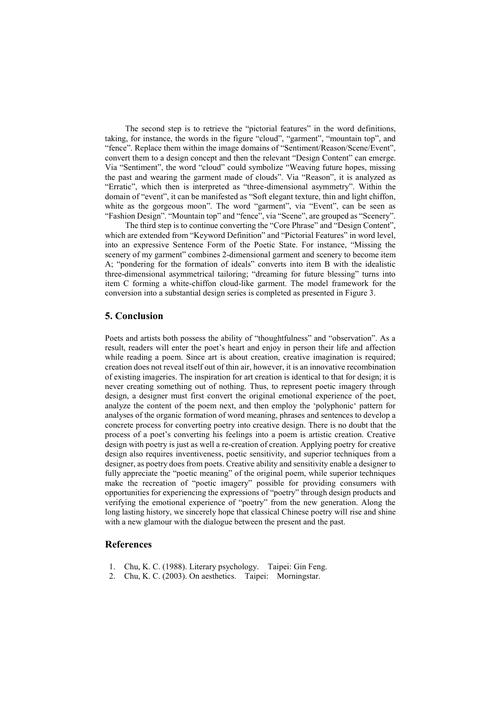The second step is to retrieve the "pictorial features" in the word definitions, taking, for instance, the words in the figure "cloud", "garment", "mountain top", and "fence". Replace them within the image domains of "Sentiment/Reason/Scene/Event", convert them to a design concept and then the relevant "Design Content" can emerge. Via "Sentiment", the word "cloud" could symbolize "Weaving future hopes, missing the past and wearing the garment made of clouds". Via "Reason", it is analyzed as "Erratic", which then is interpreted as "three-dimensional asymmetry". Within the domain of "event", it can be manifested as "Soft elegant texture, thin and light chiffon, white as the gorgeous moon". The word "garment", via "Event", can be seen as "Fashion Design". "Mountain top" and "fence", via "Scene", are grouped as "Scenery".

The third step is to continue converting the "Core Phrase" and "Design Content", which are extended from "Keyword Definition" and "Pictorial Features" in word level, into an expressive Sentence Form of the Poetic State. For instance, "Missing the scenery of my garment" combines 2-dimensional garment and scenery to become item A; "pondering for the formation of ideals" converts into item B with the idealistic three-dimensional asymmetrical tailoring; "dreaming for future blessing" turns into item C forming a white-chiffon cloud-like garment. The model framework for the conversion into a substantial design series is completed as presented in Figure 3.

### **5. Conclusion**

Poets and artists both possess the ability of "thoughtfulness" and "observation". As a result, readers will enter the poet's heart and enjoy in person their life and affection while reading a poem. Since art is about creation, creative imagination is required; creation does not reveal itself out of thin air, however, it is an innovative recombination of existing imageries. The inspiration for art creation is identical to that for design; it is never creating something out of nothing. Thus, to represent poetic imagery through design, a designer must first convert the original emotional experience of the poet, analyze the content of the poem next, and then employ the 'polyphonic' pattern for analyses of the organic formation of word meaning, phrases and sentences to develop a concrete process for converting poetry into creative design. There is no doubt that the process of a poet's converting his feelings into a poem is artistic creation. Creative design with poetry is just as well a re-creation of creation. Applying poetry for creative design also requires inventiveness, poetic sensitivity, and superior techniques from a designer, as poetry does from poets. Creative ability and sensitivity enable a designer to fully appreciate the "poetic meaning" of the original poem, while superior techniques make the recreation of "poetic imagery" possible for providing consumers with opportunities for experiencing the expressions of "poetry" through design products and verifying the emotional experience of "poetry" from the new generation. Along the long lasting history, we sincerely hope that classical Chinese poetry will rise and shine with a new glamour with the dialogue between the present and the past.

#### **References**

- 1. Chu, K. C. (1988). Literary psychology. Taipei: Gin Feng.
- 2. Chu, K. C. (2003). On aesthetics. Taipei: Morningstar.